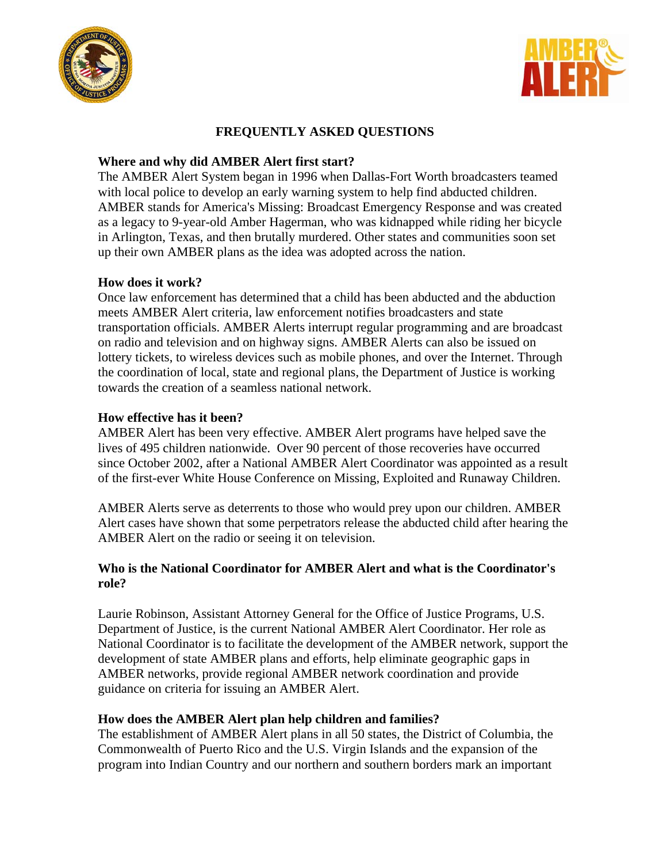



# **FREQUENTLY ASKED QUESTIONS**

# **Where and why did AMBER Alert first start?**

The AMBER Alert System began in 1996 when Dallas-Fort Worth broadcasters teamed with local police to develop an early warning system to help find abducted children. AMBER stands for America's Missing: Broadcast Emergency Response and was created as a legacy to 9-year-old Amber Hagerman, who was kidnapped while riding her bicycle in Arlington, Texas, and then brutally murdered. Other states and communities soon set up their own AMBER plans as the idea was adopted across the nation.

## **How does it work?**

Once law enforcement has determined that a child has been abducted and the abduction meets AMBER Alert criteria, law enforcement notifies broadcasters and state transportation officials. AMBER Alerts interrupt regular programming and are broadcast on radio and television and on highway signs. AMBER Alerts can also be issued on lottery tickets, to wireless devices such as mobile phones, and over the Internet. Through the coordination of local, state and regional plans, the Department of Justice is working towards the creation of a seamless national network.

### **How effective has it been?**

AMBER Alert has been very effective. AMBER Alert programs have helped save the lives of 495 children nationwide. Over 90 percent of those recoveries have occurred since October 2002, after a National AMBER Alert Coordinator was appointed as a result of the first-ever White House Conference on Missing, Exploited and Runaway Children.

AMBER Alerts serve as deterrents to those who would prey upon our children. AMBER Alert cases have shown that some perpetrators release the abducted child after hearing the AMBER Alert on the radio or seeing it on television.

### **Who is the National Coordinator for AMBER Alert and what is the Coordinator's role?**

Laurie Robinson, Assistant Attorney General for the Office of Justice Programs, U.S. Department of Justice, is the current National AMBER Alert Coordinator. Her role as National Coordinator is to facilitate the development of the AMBER network, support the development of state AMBER plans and efforts, help eliminate geographic gaps in AMBER networks, provide regional AMBER network coordination and provide guidance on criteria for issuing an AMBER Alert.

## **How does the AMBER Alert plan help children and families?**

The establishment of AMBER Alert plans in all 50 states, the District of Columbia, the Commonwealth of Puerto Rico and the U.S. Virgin Islands and the expansion of the program into Indian Country and our northern and southern borders mark an important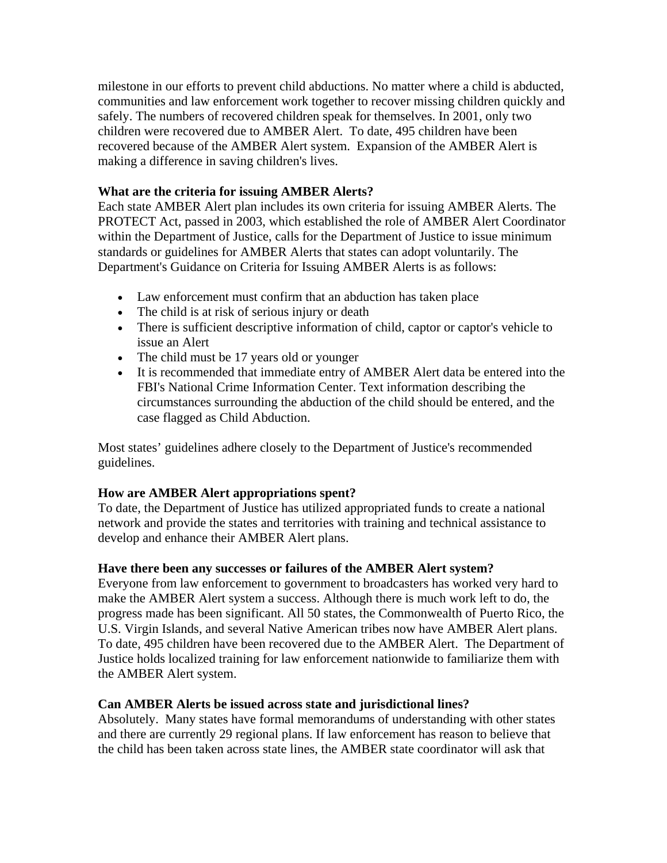milestone in our efforts to prevent child abductions. No matter where a child is abducted, communities and law enforcement work together to recover missing children quickly and safely. The numbers of recovered children speak for themselves. In 2001, only two children were recovered due to AMBER Alert. To date, 495 children have been recovered because of the AMBER Alert system. Expansion of the AMBER Alert is making a difference in saving children's lives.

### **What are the criteria for issuing AMBER Alerts?**

Each state AMBER Alert plan includes its own criteria for issuing AMBER Alerts. The PROTECT Act, passed in 2003, which established the role of AMBER Alert Coordinator within the Department of Justice, calls for the Department of Justice to issue minimum standards or guidelines for AMBER Alerts that states can adopt voluntarily. The Department's Guidance on Criteria for Issuing AMBER Alerts is as follows:

- Law enforcement must confirm that an abduction has taken place
- The child is at risk of serious injury or death
- There is sufficient descriptive information of child, captor or captor's vehicle to issue an Alert
- The child must be 17 years old or younger
- It is recommended that immediate entry of AMBER Alert data be entered into the FBI's National Crime Information Center. Text information describing the circumstances surrounding the abduction of the child should be entered, and the case flagged as Child Abduction.

Most states' guidelines adhere closely to the Department of Justice's recommended guidelines.

#### **How are AMBER Alert appropriations spent?**

To date, the Department of Justice has utilized appropriated funds to create a national network and provide the states and territories with training and technical assistance to develop and enhance their AMBER Alert plans.

#### **Have there been any successes or failures of the AMBER Alert system?**

Everyone from law enforcement to government to broadcasters has worked very hard to make the AMBER Alert system a success. Although there is much work left to do, the progress made has been significant. All 50 states, the Commonwealth of Puerto Rico, the U.S. Virgin Islands, and several Native American tribes now have AMBER Alert plans. To date, 495 children have been recovered due to the AMBER Alert. The Department of Justice holds localized training for law enforcement nationwide to familiarize them with the AMBER Alert system.

## **Can AMBER Alerts be issued across state and jurisdictional lines?**

Absolutely. Many states have formal memorandums of understanding with other states and there are currently 29 regional plans. If law enforcement has reason to believe that the child has been taken across state lines, the AMBER state coordinator will ask that